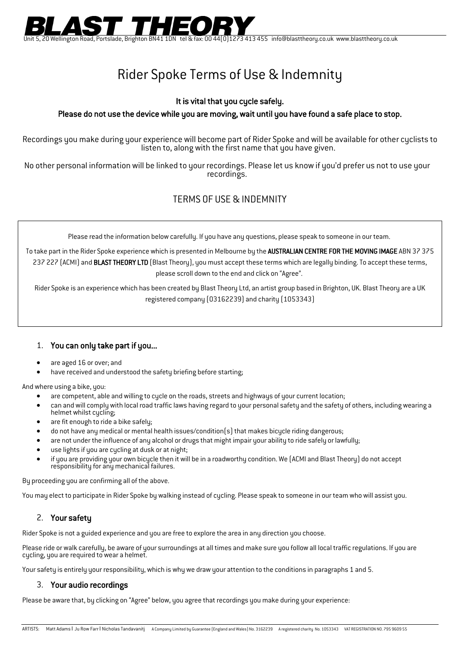

Unit 5, 20 Wellington Road, Portslade, Brighton BN41 1DN tel & fax: 00 44(0)1273 413 455 info@blasttheory.co.uk www.blasttheory.co.uk

# Rider Spoke Terms of Use & Indemnity

#### It is vital that you cycle safely.

#### Please do not use the device while you are moving, wait until you have found a safe place to stop.

Recordings you make during your experience will become part of Rider Spoke and will be available for other cyclists to listen to, along with the first name that you have given.

No other personal information will be linked to your recordings. Please let us know if you'd prefer us not to use your recordings.

## TERMS OF USE & INDEMNITY

Please read the information below carefully. If you have any questions, please speak to someone in our team.

To take part in the Rider Spoke experience which is presented in Melbourne by the AUSTRALIAN CENTRE FOR THE MOVING IMAGE ABN 37 375 237 227 (ACMI) and BLAST THEORY LTD (Blast Theory), you must accept these terms which are legally binding. To accept these terms, please scroll down to the end and click on "Agree".

Rider Spoke is an experience which has been created by Blast Theory Ltd, an artist group based in Brighton, UK. Blast Theory are a UK registered company (03162239) and charity (1053343)

### 1. You can only take part if you...

- are aged 16 or over; and
- have received and understood the safety briefing before starting;

And where using a bike, you:

- are competent, able and willing to cycle on the roads, streets and highways of your current location;
- can and will comply with local road traffic laws having regard to your personal safety and the safety of others, including wearing a helmet whilst cycling;
- are fit enough to ride a bike safely;
- do not have any medical or mental health issues/condition(s) that makes bicycle riding dangerous;
- are not under the influence of any alcohol or drugs that might impair your ability to ride safely or lawfully;
- use lights if you are cycling at dusk or at night;
- if you are providing your own bicycle then it will be in a roadworthy condition. We (ACMI and Blast Theory) do not accept responsibility for any mechanical failures.

By proceeding you are confirming all of the above.

You may elect to participate in Rider Spoke by walking instead of cycling. Please speak to someone in our team who will assist you.

### 2. Your safety

Rider Spoke is not a guided experience and you are free to explore the area in any direction you choose.

Please ride or walk carefully, be aware of your surroundings at all times and make sure you follow all local traffic regulations. If you are cycling, you are required to wear a helmet.

Your safety is entirely your responsibility, which is why we draw your attention to the conditions in paragraphs 1 and 5.

#### 3. Your audio recordings

Please be aware that, by clicking on "Agree" below, you agree that recordings you make during your experience: